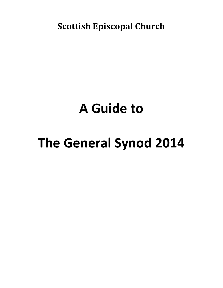**Scottish Episcopal Church**

## **A Guide to**

# **The General Synod 2014**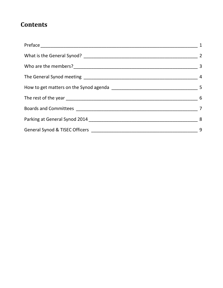## **Contents**

| $\overline{1}$ |
|----------------|
|                |
|                |
|                |
|                |
|                |
|                |
|                |
|                |
|                |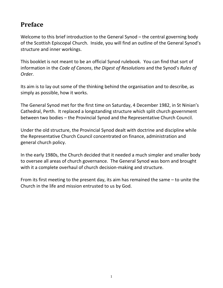## <span id="page-3-0"></span>**Preface**

Welcome to this brief introduction to the General Synod – the central governing body of the Scottish Episcopal Church. Inside, you will find an outline of the General Synod's structure and inner workings.

This booklet is not meant to be an official Synod rulebook. You can find that sort of information in the *Code of Canons*, *the Digest of Resolutions* and the Synod's *Rules of Order*.

Its aim is to lay out some of the thinking behind the organisation and to describe, as simply as possible, how it works.

The General Synod met for the first time on Saturday, 4 December 1982, in St Ninian's Cathedral, Perth. It replaced a longstanding structure which split church government between two bodies – the Provincial Synod and the Representative Church Council.

Under the old structure, the Provincial Synod dealt with doctrine and discipline while the Representative Church Council concentrated on finance, administration and general church policy.

In the early 1980s, the Church decided that it needed a much simpler and smaller body to oversee all areas of church governance. The General Synod was born and brought with it a complete overhaul of church decision-making and structure.

From its first meeting to the present day, its aim has remained the same – to unite the Church in the life and mission entrusted to us by God.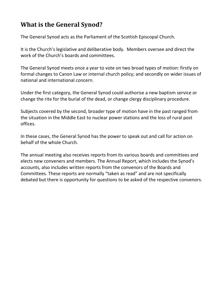## <span id="page-4-0"></span>**What is the General Synod?**

The General Synod acts as the Parliament of the Scottish Episcopal Church.

It is the Church's legislative and deliberative body. Members oversee and direct the work of the Church's boards and committees.

The General Synod meets once a year to vote on two broad types of motion: firstly on formal changes to Canon Law or internal church policy; and secondly on wider issues of national and international concern.

Under the first category, the General Synod could authorise a new baptism service or change the rite for the burial of the dead, or change clergy disciplinary procedure.

Subjects covered by the second, broader type of motion have in the past ranged from the situation in the Middle East to nuclear power stations and the loss of rural post offices.

In these cases, the General Synod has the power to speak out and call for action on behalf of the whole Church.

The annual meeting also receives reports from its various boards and committees and elects new conveners and members. The Annual Report, which includes the Synod's accounts, also includes written reports from the convenors of the Boards and Committees. These reports are normally "taken as read" and are not specifically debated but there is opportunity for questions to be asked of the respective convenors.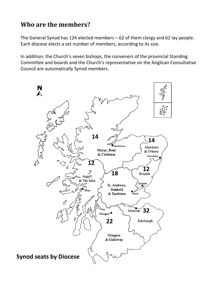## <span id="page-5-0"></span>**Who are the members?**

The General Synod has 124 elected members – 62 of them clergy and 62 lay people. Each diocese elects a set number of members, according to its size.

In addition, the Church's seven bishops, the conveners of the provincial Standing Committee and boards and the Church's representative on the Anglican Consultative Council are automatically Synod members.

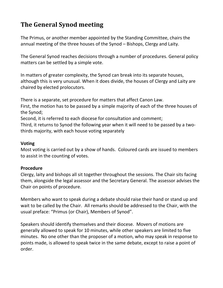## <span id="page-6-0"></span>**The General Synod meeting**

The Primus, or another member appointed by the Standing Committee, chairs the annual meeting of the three houses of the Synod – Bishops, Clergy and Laity.

The General Synod reaches decisions through a number of procedures. General policy matters can be settled by a simple vote.

In matters of greater complexity, the Synod can break into its separate houses, although this is very unusual. When it does divide, the houses of Clergy and Laity are chaired by elected prolocutors.

There is a separate, set procedure for matters that affect Canon Law.

First, the motion has to be passed by a simple majority of each of the three houses of the Synod;

Second, it is referred to each diocese for consultation and comment;

Third, it returns to Synod the following year when it will need to be passed by a twothirds majority, with each house voting separately

#### **Voting**

Most voting is carried out by a show of hands. Coloured cards are issued to members to assist in the counting of votes.

#### **Procedure**

Clergy, laity and bishops all sit together throughout the sessions. The Chair sits facing them, alongside the legal assessor and the Secretary General. The assessor advises the Chair on points of procedure.

Members who want to speak during a debate should raise their hand or stand up and wait to be called by the Chair. All remarks should be addressed to the Chair, with the usual preface: "Primus (or Chair), Members of Synod".

Speakers should identify themselves and their diocese. Movers of motions are generally allowed to speak for 10 minutes, while other speakers are limited to five minutes. No one other than the proposer of a motion, who may speak in response to points made, is allowed to speak twice in the same debate, except to raise a point of order.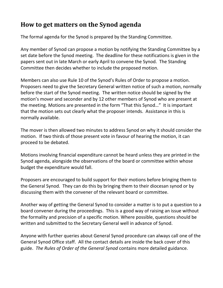## <span id="page-7-0"></span>**How to get matters on the Synod agenda**

The formal agenda for the Synod is prepared by the Standing Committee.

Any member of Synod can propose a motion by notifying the Standing Committee by a set date before the Synod meeting. The deadline for these notifications is given in the papers sent out in late March or early April to convene the Synod. The Standing Committee then decides whether to include the proposed motion.

Members can also use Rule 10 of the Synod's Rules of Order to propose a motion. Proposers need to give the Secretary General written notice of such a motion, normally before the start of the Synod meeting. The written notice should be signed by the motion's mover and seconder and by 12 other members of Synod who are present at the meeting. Motions are presented in the form "That this Synod…" It is important that the motion sets out clearly what the proposer intends. Assistance in this is normally available.

The mover is then allowed two minutes to address Synod on why it should consider the motion. If two thirds of those present vote in favour of hearing the motion, it can proceed to be debated.

Motions involving financial expenditure cannot be heard unless they are printed in the Synod agenda, alongside the observations of the board or committee within whose budget the expenditure would fall.

Proposers are encouraged to build support for their motions before bringing them to the General Synod. They can do this by bringing them to their diocesan synod or by discussing them with the convener of the relevant board or committee.

Another way of getting the General Synod to consider a matter is to put a question to a board convener during the proceedings. This is a good way of raising an issue without the formality and precision of a specific motion. Where possible, questions should be written and submitted to the Secretary General well in advance of Synod.

Anyone with further queries about General Synod procedure can always call one of the General Synod Office staff. All the contact details are inside the back cover of this guide. *The Rules of Order of the General Synod* contains more detailed guidance.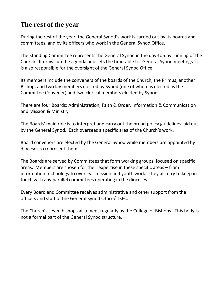## <span id="page-8-0"></span>**The rest of the year**

During the rest of the year, the General Synod's work is carried out by its boards and committees, and by its officers who work in the General Synod Office.

The Standing Committee represents the General Synod in the day-to-day running of the Church. It draws up the agenda and sets the timetable for General Synod meetings. It is also responsible for the oversight of the General Synod Office.

Its members include the conveners of the boards of the Church, the Primus, another Bishop, and two lay members elected by Synod (one of whom is elected as the Committee Convener) and two clerical members elected by Synod.

There are four Boards: Administration, Faith & Order, Information & Communication and Mission & Ministry

The Boards' main role is to interpret and carry out the broad policy guidelines laid out by the General Synod. Each oversees a specific area of the Church's work.

Board conveners are elected by the General Synod while members are appointed by dioceses to represent them.

The Boards are served by Committees that form working groups, focused on specific areas. Members are chosen for their expertise in these specific areas – from information technology to overseas mission and youth work. They also try to keep in touch with any parallel committees operating in the dioceses.

Every Board and Committee receives administrative and other support from the officers and staff of the General Synod Office/TISEC.

The Church's seven bishops also meet regularly as the College of Bishops. This body is not a formal part of the General Synod structure.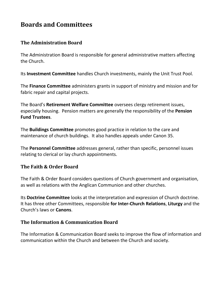## <span id="page-9-0"></span>**Boards and Committees**

#### **The Administration Board**

The Administration Board is responsible for general administrative matters affecting the Church.

Its **Investment Committee** handles Church investments, mainly the Unit Trust Pool.

The **Finance Committee** administers grants in support of ministry and mission and for fabric repair and capital projects.

The Board's **Retirement Welfare Committee** oversees clergy retirement issues, especially housing. Pension matters are generally the responsibility of the **Pension Fund Trustees**.

The **Buildings Committee** promotes good practice in relation to the care and maintenance of church buildings. It also handles appeals under Canon 35.

The **Personnel Committee** addresses general, rather than specific, personnel issues relating to clerical or lay church appointments.

#### **The Faith & Order Board**

The Faith & Order Board considers questions of Church government and organisation, as well as relations with the Anglican Communion and other churches.

Its **Doctrine Committee** looks at the interpretation and expression of Church doctrine. It has three other Committees, responsible **for Inter-Church Relations**, **Liturgy** and the Church's laws or **Canons**.

#### **The Information & Communication Board**

The Information & Communication Board seeks to improve the flow of information and communication within the Church and between the Church and society.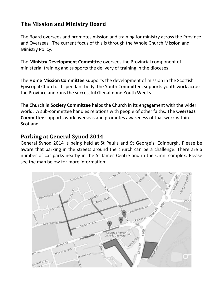#### **The Mission and Ministry Board**

The Board oversees and promotes mission and training for ministry across the Province and Overseas. The current focus of this is through the Whole Church Mission and Ministry Policy.

The **Ministry Development Committee** oversees the Provincial component of ministerial training and supports the delivery of training in the dioceses.

The **Home Mission Committee** supports the development of mission in the Scottish Episcopal Church. Its pendant body, the Youth Committee, supports youth work across the Province and runs the successful Glenalmond Youth Weeks.

The **Church in Society Committee** helps the Church in its engagement with the wider world. A sub-committee handles relations with people of other faiths. The **Overseas Committee** supports work overseas and promotes awareness of that work within Scotland.

#### <span id="page-10-0"></span>**Parking at General Synod 2014**

General Synod 2014 is being held at St Paul's and St George's, Edinburgh. Please be aware that parking in the streets around the church can be a challenge. There are a number of car parks nearby in the St James Centre and in the Omni complex. Please see the map below for more information: